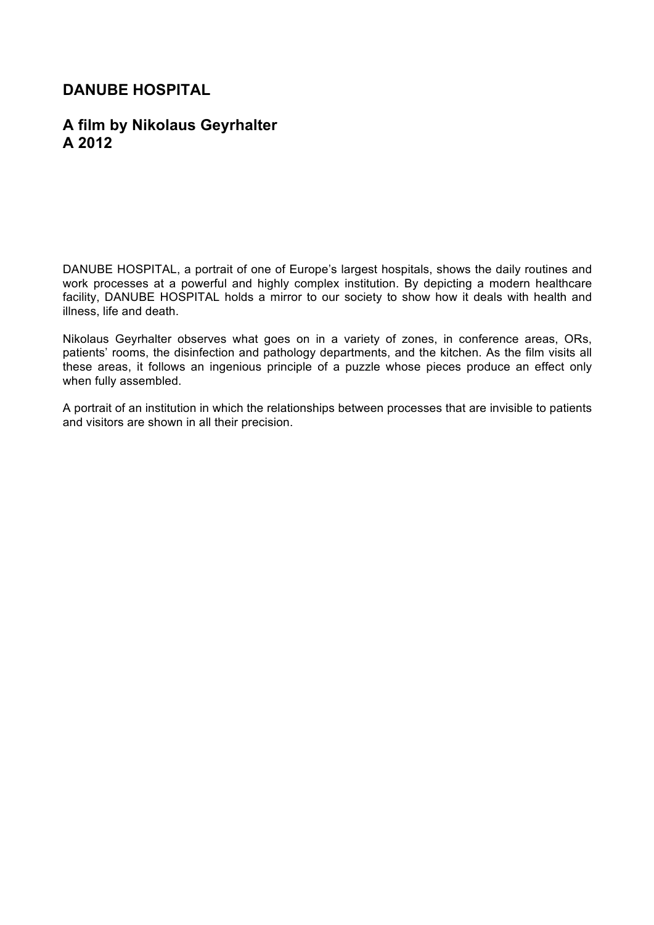# **DANUBE HOSPITAL**

## **A film by Nikolaus Geyrhalter A 2012**

DANUBE HOSPITAL, a portrait of one of Europe's largest hospitals, shows the daily routines and work processes at a powerful and highly complex institution. By depicting a modern healthcare facility, DANUBE HOSPITAL holds a mirror to our society to show how it deals with health and illness, life and death.

Nikolaus Geyrhalter observes what goes on in a variety of zones, in conference areas, ORs, patients' rooms, the disinfection and pathology departments, and the kitchen. As the film visits all these areas, it follows an ingenious principle of a puzzle whose pieces produce an effect only when fully assembled.

A portrait of an institution in which the relationships between processes that are invisible to patients and visitors are shown in all their precision.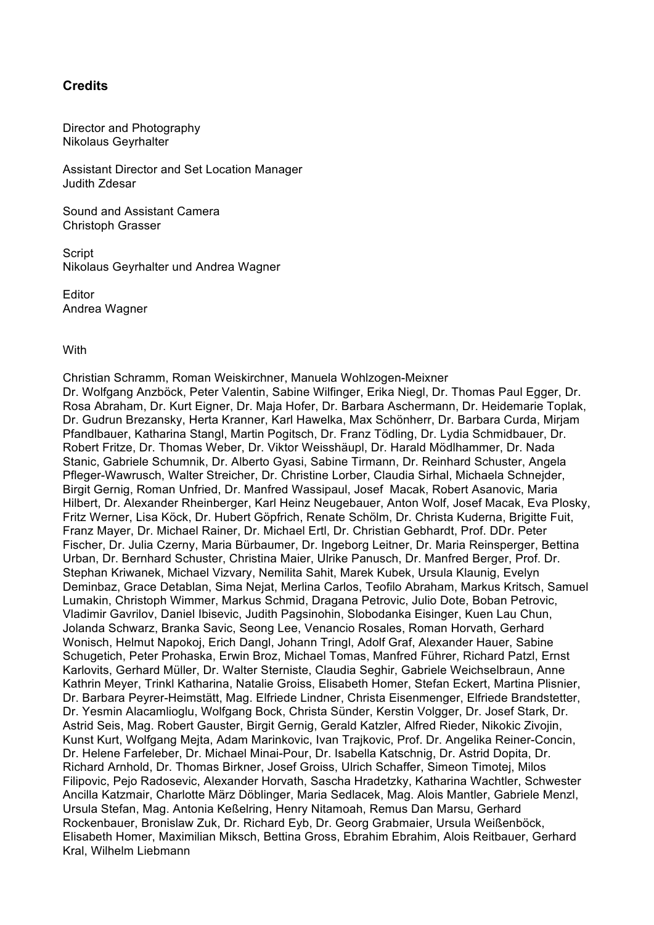### **Credits**

Director and Photography Nikolaus Geyrhalter

Assistant Director and Set Location Manager Judith Zdesar

Sound and Assistant Camera Christoph Grasser

**Script** Nikolaus Geyrhalter und Andrea Wagner

Editor Andrea Wagner

#### **With**

Christian Schramm, Roman Weiskirchner, Manuela Wohlzogen-Meixner Dr. Wolfgang Anzböck, Peter Valentin, Sabine Wilfinger, Erika Niegl, Dr. Thomas Paul Egger, Dr. Rosa Abraham, Dr. Kurt Eigner, Dr. Maja Hofer, Dr. Barbara Aschermann, Dr. Heidemarie Toplak, Dr. Gudrun Brezansky, Herta Kranner, Karl Hawelka, Max Schönherr, Dr. Barbara Curda, Mirjam Pfandlbauer, Katharina Stangl, Martin Pogitsch, Dr. Franz Tödling, Dr. Lydia Schmidbauer, Dr. Robert Fritze, Dr. Thomas Weber, Dr. Viktor Weisshäupl, Dr. Harald Mödlhammer, Dr. Nada Stanic, Gabriele Schumnik, Dr. Alberto Gyasi, Sabine Tirmann, Dr. Reinhard Schuster, Angela Pfleger-Wawrusch, Walter Streicher, Dr. Christine Lorber, Claudia Sirhal, Michaela Schnejder, Birgit Gernig, Roman Unfried, Dr. Manfred Wassipaul, Josef Macak, Robert Asanovic, Maria Hilbert, Dr. Alexander Rheinberger, Karl Heinz Neugebauer, Anton Wolf, Josef Macak, Eva Plosky, Fritz Werner, Lisa Köck, Dr. Hubert Göpfrich, Renate Schölm, Dr. Christa Kuderna, Brigitte Fuit, Franz Mayer, Dr. Michael Rainer, Dr. Michael Ertl, Dr. Christian Gebhardt, Prof. DDr. Peter Fischer, Dr. Julia Czerny, Maria Bürbaumer, Dr. Ingeborg Leitner, Dr. Maria Reinsperger, Bettina Urban, Dr. Bernhard Schuster, Christina Maier, Ulrike Panusch, Dr. Manfred Berger, Prof. Dr. Stephan Kriwanek, Michael Vizvary, Nemilita Sahit, Marek Kubek, Ursula Klaunig, Evelyn Deminbaz, Grace Detablan, Sima Nejat, Merlina Carlos, Teofilo Abraham, Markus Kritsch, Samuel Lumakin, Christoph Wimmer, Markus Schmid, Dragana Petrovic, Julio Dote, Boban Petrovic, Vladimir Gavrilov, Daniel Ibisevic, Judith Pagsinohin, Slobodanka Eisinger, Kuen Lau Chun, Jolanda Schwarz, Branka Savic, Seong Lee, Venancio Rosales, Roman Horvath, Gerhard Wonisch, Helmut Napokoj, Erich Dangl, Johann Tringl, Adolf Graf, Alexander Hauer, Sabine Schugetich, Peter Prohaska, Erwin Broz, Michael Tomas, Manfred Führer, Richard Patzl, Ernst Karlovits, Gerhard Müller, Dr. Walter Sterniste, Claudia Seghir, Gabriele Weichselbraun, Anne Kathrin Meyer, Trinkl Katharina, Natalie Groiss, Elisabeth Homer, Stefan Eckert, Martina Plisnier, Dr. Barbara Peyrer-Heimstätt, Mag. Elfriede Lindner, Christa Eisenmenger, Elfriede Brandstetter, Dr. Yesmin Alacamlioglu, Wolfgang Bock, Christa Sünder, Kerstin Volgger, Dr. Josef Stark, Dr. Astrid Seis, Mag. Robert Gauster, Birgit Gernig, Gerald Katzler, Alfred Rieder, Nikokic Zivojin, Kunst Kurt, Wolfgang Mejta, Adam Marinkovic, Ivan Trajkovic, Prof. Dr. Angelika Reiner-Concin, Dr. Helene Farfeleber, Dr. Michael Minai-Pour, Dr. Isabella Katschnig, Dr. Astrid Dopita, Dr. Richard Arnhold, Dr. Thomas Birkner, Josef Groiss, Ulrich Schaffer, Simeon Timotej, Milos Filipovic, Pejo Radosevic, Alexander Horvath, Sascha Hradetzky, Katharina Wachtler, Schwester Ancilla Katzmair, Charlotte März Döblinger, Maria Sedlacek, Mag. Alois Mantler, Gabriele Menzl, Ursula Stefan, Mag. Antonia Keßelring, Henry Nitamoah, Remus Dan Marsu, Gerhard Rockenbauer, Bronislaw Zuk, Dr. Richard Eyb, Dr. Georg Grabmaier, Ursula Weißenböck, Elisabeth Homer, Maximilian Miksch, Bettina Gross, Ebrahim Ebrahim, Alois Reitbauer, Gerhard Kral, Wilhelm Liebmann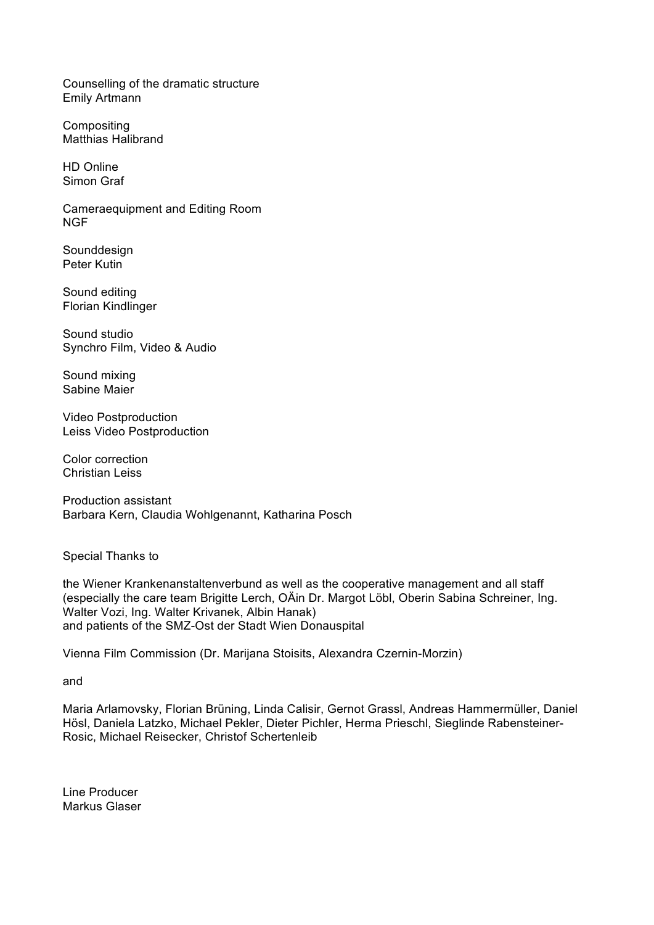Counselling of the dramatic structure Emily Artmann

**Compositing** Matthias Halibrand

HD Online Simon Graf

Cameraequipment and Editing Room NGF

Sounddesign Peter Kutin

Sound editing Florian Kindlinger

Sound studio Synchro Film, Video & Audio

Sound mixing Sabine Maier

Video Postproduction Leiss Video Postproduction

Color correction Christian Leiss

Production assistant Barbara Kern, Claudia Wohlgenannt, Katharina Posch

Special Thanks to

the Wiener Krankenanstaltenverbund as well as the cooperative management and all staff (especially the care team Brigitte Lerch, OÄin Dr. Margot Löbl, Oberin Sabina Schreiner, Ing. Walter Vozi, Ing. Walter Krivanek, Albin Hanak) and patients of the SMZ-Ost der Stadt Wien Donauspital

Vienna Film Commission (Dr. Marijana Stoisits, Alexandra Czernin-Morzin)

and

Maria Arlamovsky, Florian Brüning, Linda Calisir, Gernot Grassl, Andreas Hammermüller, Daniel Hösl, Daniela Latzko, Michael Pekler, Dieter Pichler, Herma Prieschl, Sieglinde Rabensteiner-Rosic, Michael Reisecker, Christof Schertenleib

Line Producer Markus Glaser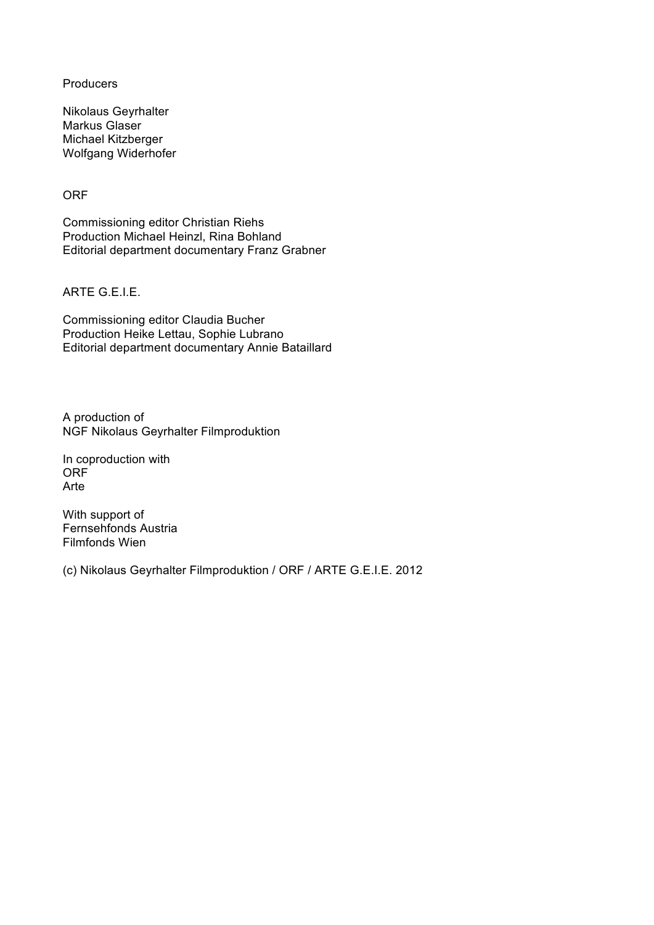**Producers** 

Nikolaus Geyrhalter Markus Glaser Michael Kitzberger Wolfgang Widerhofer

**ORF** 

Commissioning editor Christian Riehs Production Michael Heinzl, Rina Bohland Editorial department documentary Franz Grabner

ARTE G.E.I.E.

Commissioning editor Claudia Bucher Production Heike Lettau, Sophie Lubrano Editorial department documentary Annie Bataillard

A production of NGF Nikolaus Geyrhalter Filmproduktion

In coproduction with ORF Arte

With support of Fernsehfonds Austria Filmfonds Wien

(c) Nikolaus Geyrhalter Filmproduktion / ORF / ARTE G.E.I.E. 2012